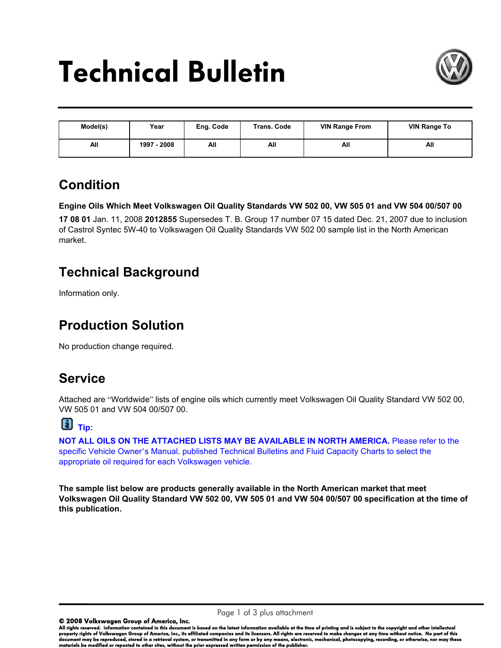# Technical Bulletin



| Model(s) | Year        | Eng. Code | <b>Trans. Code</b> | <b>VIN Range From</b> | <b>VIN Range To</b> |
|----------|-------------|-----------|--------------------|-----------------------|---------------------|
| All      | 1997 - 2008 | All       | All                | All                   | All                 |

### **Condition**

**Engine Oils Which Meet Volkswagen Oil Quality Standards VW 502 00, VW 505 01 and VW 504 00/507 00**

**17 08 01** Jan. 11, 2008 **2012855** Supersedes T. B. Group 17 number 07 15 dated Dec. 21, 2007 due to inclusion of Castrol Syntec 5W-40 to Volkswagen Oil Quality Standards VW 502 00 sample list in the North American market.

### **Technical Background**

Information only.

### **Production Solution**

No production change required.

### **Service**

Attached are "Worldwide" lists of engine oils which currently meet Volkswagen Oil Quality Standard VW 502 00, VW 505 01 and VW 504 00/507 00.

## **Tip:**

**NOT ALL OILS ON THE ATTACHED LISTS MAY BE AVAILABLE IN NORTH AMERICA.** Please refer to the specific Vehicle Owner's Manual, published Technical Bulletins and Fluid Capacity Charts to select the appropriate oil required for each Volkswagen vehicle.

**The sample list below are products generally available in the North American market that meet Volkswagen Oil Quality Standard VW 502 00, VW 505 01 and VW 504 00/507 00 specification at the time of this publication.** 

© 2008 Volkswagen Group of America, Inc.

All rights reserved. Information contained in this document is based on the latest information available at the time of printing and is subject to the copyright and other intellectual property rights of Volkswagen Group of America, Inc., its affiliated companies and its licensors. All rights are reserved to make changes at any time without notice. No part of this document may be reproduced, stored in a retrieval system, or transmitted in any form or by any means, electronic, mechanical, photocopying, recording, or otherwise, nor may these materials be modified or reposted to other sites, without the prior expressed written permission of the publisher.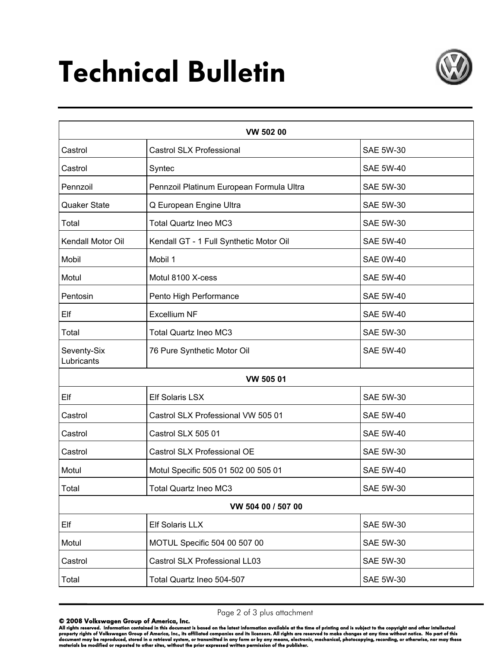# Technical Bulletin



| VW 502 00                 |                                          |                  |  |  |
|---------------------------|------------------------------------------|------------------|--|--|
| Castrol                   | <b>Castrol SLX Professional</b>          | <b>SAE 5W-30</b> |  |  |
| Castrol                   | Syntec                                   | <b>SAE 5W-40</b> |  |  |
| Pennzoil                  | Pennzoil Platinum European Formula Ultra | <b>SAE 5W-30</b> |  |  |
| <b>Quaker State</b>       | Q European Engine Ultra                  | <b>SAE 5W-30</b> |  |  |
| Total                     | <b>Total Quartz Ineo MC3</b>             | <b>SAE 5W-30</b> |  |  |
| Kendall Motor Oil         | Kendall GT - 1 Full Synthetic Motor Oil  | <b>SAE 5W-40</b> |  |  |
| Mobil                     | Mobil 1                                  | <b>SAE 0W-40</b> |  |  |
| Motul                     | Motul 8100 X-cess                        | <b>SAE 5W-40</b> |  |  |
| Pentosin                  | Pento High Performance                   | <b>SAE 5W-40</b> |  |  |
| Elf                       | <b>Excellium NF</b>                      | <b>SAE 5W-40</b> |  |  |
| Total                     | <b>Total Quartz Ineo MC3</b>             | <b>SAE 5W-30</b> |  |  |
| Seventy-Six<br>Lubricants | 76 Pure Synthetic Motor Oil              | <b>SAE 5W-40</b> |  |  |
|                           | VW 505 01                                |                  |  |  |
| Elf                       | <b>Elf Solaris LSX</b>                   | <b>SAE 5W-30</b> |  |  |
| Castrol                   | Castrol SLX Professional VW 505 01       | <b>SAE 5W-40</b> |  |  |
| Castrol                   | Castrol SLX 505 01                       | <b>SAE 5W-40</b> |  |  |
| Castrol                   | Castrol SLX Professional OE              | <b>SAE 5W-30</b> |  |  |
| Motul                     | Motul Specific 505 01 502 00 505 01      | <b>SAE 5W-40</b> |  |  |
| Total                     | <b>Total Quartz Ineo MC3</b>             | <b>SAE 5W-30</b> |  |  |
|                           | VW 504 00 / 507 00                       |                  |  |  |
| Elf                       | Elf Solaris LLX                          | <b>SAE 5W-30</b> |  |  |
| Motul                     | MOTUL Specific 504 00 507 00             | <b>SAE 5W-30</b> |  |  |
| Castrol                   | Castrol SLX Professional LL03            | <b>SAE 5W-30</b> |  |  |
| Total                     | Total Quartz Ineo 504-507                | <b>SAE 5W-30</b> |  |  |

Page 2 of 3 plus attachment

© 2008 Volkswagen Group of America, Inc.<br>All rights reserved. Information contained in this document is based on the latest information available at the time of printing and is subject to the copyright and other intellectu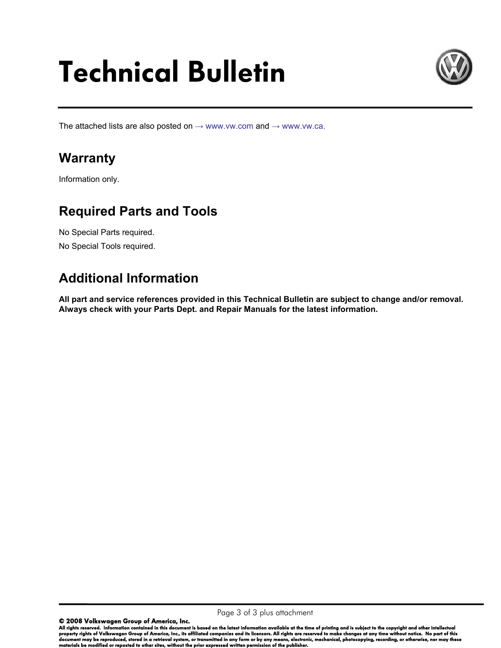# Technical Bulletin



The attached lists are also posted on  $\rightarrow$  www.vw.com and  $\rightarrow$  www.vw.ca.

### **Warranty**

Information only.

#### **Required Parts and Tools**

No Special Parts required. No Special Tools required.

### **Additional Information**

**All part and service references provided in this Technical Bulletin are subject to change and/or removal. Always check with your Parts Dept. and Repair Manuals for the latest information.**

© 2008 Volkswagen Group of America, Inc.

All rights reserved. Information contained in this document is based on the latest information available at the time of printing and is subject to the copyright and other intellectual property rights of Volkswagen Group of America, Inc., its affiliated companies and its licensors. All rights are reserved to make changes at any time without notice. No part of this document may be reproduced, stored in a retrieval system, or transmitted in any form or by any means, electronic, mechanical, photocopying, recording, or otherwise, nor may these materials be modified or reposted to other sites, without the prior expressed written permission of the publisher.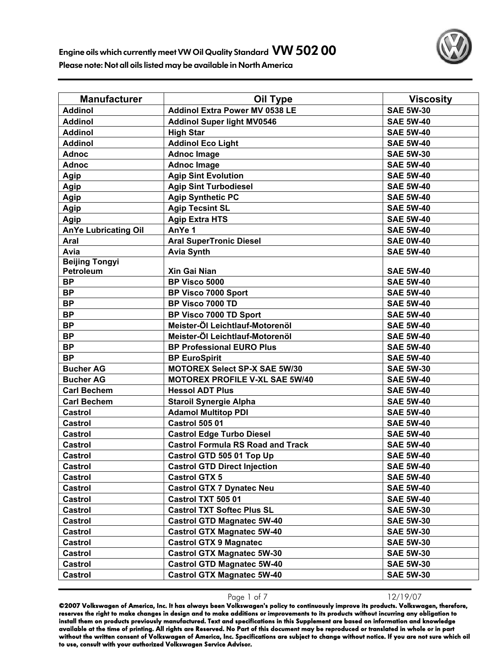

| <b>Manufacturer</b>         | Oil Type                                 | <b>Viscosity</b> |
|-----------------------------|------------------------------------------|------------------|
| <b>Addinol</b>              | <b>Addinol Extra Power MV 0538 LE</b>    | <b>SAE 5W-30</b> |
| <b>Addinol</b>              | <b>Addinol Super light MV0546</b>        | <b>SAE 5W-40</b> |
| <b>Addinol</b>              | <b>High Star</b>                         | <b>SAE 5W-40</b> |
| <b>Addinol</b>              | <b>Addinol Eco Light</b>                 | <b>SAE 5W-40</b> |
| <b>Adnoc</b>                | <b>Adnoc Image</b>                       | <b>SAE 5W-30</b> |
| <b>Adnoc</b>                | <b>Adnoc Image</b>                       | <b>SAE 5W-40</b> |
| Agip                        | <b>Agip Sint Evolution</b>               | <b>SAE 5W-40</b> |
| Agip                        | <b>Agip Sint Turbodiesel</b>             | <b>SAE 5W-40</b> |
| Agip                        | <b>Agip Synthetic PC</b>                 | <b>SAE 5W-40</b> |
| <b>Agip</b>                 | <b>Agip Tecsint SL</b>                   | <b>SAE 5W-40</b> |
| Agip                        | <b>Agip Extra HTS</b>                    | <b>SAE 5W-40</b> |
| <b>AnYe Lubricating Oil</b> | AnYe 1                                   | <b>SAE 5W-40</b> |
| Aral                        | <b>Aral SuperTronic Diesel</b>           | <b>SAE 0W-40</b> |
| Avia                        | <b>Avia Synth</b>                        | <b>SAE 5W-40</b> |
| <b>Beijing Tongyi</b>       |                                          |                  |
| Petroleum                   | Xin Gai Nian                             | <b>SAE 5W-40</b> |
| <b>BP</b>                   | BP Visco 5000                            | <b>SAE 5W-40</b> |
| <b>BP</b>                   | BP Visco 7000 Sport                      | <b>SAE 5W-40</b> |
| <b>BP</b>                   | BP Visco 7000 TD                         | <b>SAE 5W-40</b> |
| <b>BP</b>                   | BP Visco 7000 TD Sport                   | <b>SAE 5W-40</b> |
| <b>BP</b>                   | Meister-Öl Leichtlauf-Motorenöl          | <b>SAE 5W-40</b> |
| <b>BP</b>                   | Meister-Öl Leichtlauf-Motorenöl          | <b>SAE 5W-40</b> |
| <b>BP</b>                   | <b>BP Professional EURO Plus</b>         | <b>SAE 5W-40</b> |
| <b>BP</b>                   | <b>BP EuroSpirit</b>                     | <b>SAE 5W-40</b> |
| <b>Bucher AG</b>            | <b>MOTOREX Select SP-X SAE 5W/30</b>     | <b>SAE 5W-30</b> |
| <b>Bucher AG</b>            | <b>MOTOREX PROFILE V-XL SAE 5W/40</b>    | <b>SAE 5W-40</b> |
| <b>Carl Bechem</b>          | <b>Hessol ADT Plus</b>                   | <b>SAE 5W-40</b> |
| <b>Carl Bechem</b>          | <b>Staroil Synergie Alpha</b>            | <b>SAE 5W-40</b> |
| <b>Castrol</b>              | <b>Adamol Multitop PDI</b>               | <b>SAE 5W-40</b> |
| <b>Castrol</b>              | <b>Castrol 505 01</b>                    | <b>SAE 5W-40</b> |
| <b>Castrol</b>              | <b>Castrol Edge Turbo Diesel</b>         | <b>SAE 5W-40</b> |
| Castrol                     | <b>Castrol Formula RS Road and Track</b> | <b>SAE 5W-40</b> |
| <b>Castrol</b>              | Castrol GTD 505 01 Top Up                | <b>SAE 5W-40</b> |
| Castrol                     | <b>Castrol GTD Direct Injection</b>      | <b>SAE 5W-40</b> |
| Castrol                     | <b>Castrol GTX 5</b>                     | <b>SAE 5W-40</b> |
| Castrol                     | <b>Castrol GTX 7 Dynatec Neu</b>         | <b>SAE 5W-40</b> |
| Castrol                     | Castrol TXT 505 01                       | <b>SAE 5W-40</b> |
| Castrol                     | <b>Castrol TXT Softec Plus SL</b>        | <b>SAE 5W-30</b> |
| <b>Castrol</b>              | <b>Castrol GTD Magnatec 5W-40</b>        | <b>SAE 5W-30</b> |
| Castrol                     | <b>Castrol GTX Magnatec 5W-40</b>        | <b>SAE 5W-30</b> |
| <b>Castrol</b>              | <b>Castrol GTX 9 Magnatec</b>            | <b>SAE 5W-30</b> |
| <b>Castrol</b>              | <b>Castrol GTX Magnatec 5W-30</b>        | <b>SAE 5W-30</b> |
| <b>Castrol</b>              | <b>Castrol GTD Magnatec 5W-40</b>        | <b>SAE 5W-30</b> |
| <b>Castrol</b>              | <b>Castrol GTX Magnatec 5W-40</b>        | <b>SAE 5W-30</b> |

Page 1 of 7 12/19/07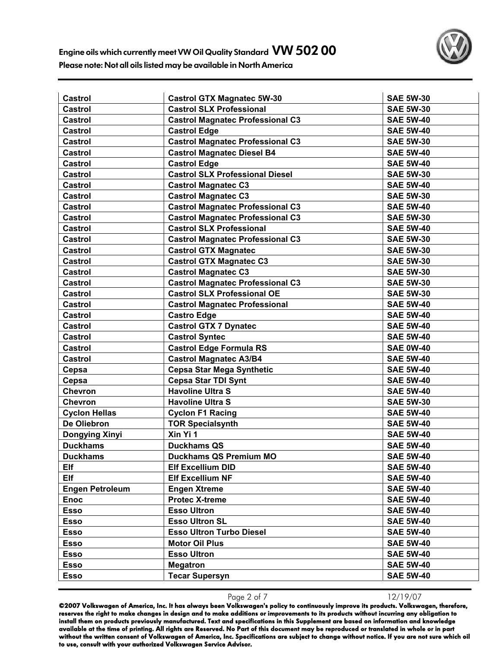

| Castrol                | <b>Castrol GTX Magnatec 5W-30</b>       | <b>SAE 5W-30</b> |
|------------------------|-----------------------------------------|------------------|
| <b>Castrol</b>         | <b>Castrol SLX Professional</b>         | <b>SAE 5W-30</b> |
| Castrol                | <b>Castrol Magnatec Professional C3</b> | <b>SAE 5W-40</b> |
| <b>Castrol</b>         | <b>Castrol Edge</b>                     | <b>SAE 5W-40</b> |
| <b>Castrol</b>         | <b>Castrol Magnatec Professional C3</b> | <b>SAE 5W-30</b> |
| <b>Castrol</b>         | <b>Castrol Magnatec Diesel B4</b>       | <b>SAE 5W-40</b> |
| <b>Castrol</b>         | <b>Castrol Edge</b>                     | <b>SAE 5W-40</b> |
| <b>Castrol</b>         | <b>Castrol SLX Professional Diesel</b>  | <b>SAE 5W-30</b> |
| <b>Castrol</b>         | <b>Castrol Magnatec C3</b>              | <b>SAE 5W-40</b> |
| <b>Castrol</b>         | <b>Castrol Magnatec C3</b>              | <b>SAE 5W-30</b> |
| <b>Castrol</b>         | <b>Castrol Magnatec Professional C3</b> | <b>SAE 5W-40</b> |
| Castrol                | <b>Castrol Magnatec Professional C3</b> | <b>SAE 5W-30</b> |
| Castrol                | <b>Castrol SLX Professional</b>         | <b>SAE 5W-40</b> |
| Castrol                | <b>Castrol Magnatec Professional C3</b> | <b>SAE 5W-30</b> |
| <b>Castrol</b>         | <b>Castrol GTX Magnatec</b>             | <b>SAE 5W-30</b> |
| <b>Castrol</b>         | <b>Castrol GTX Magnatec C3</b>          | <b>SAE 5W-30</b> |
| <b>Castrol</b>         | <b>Castrol Magnatec C3</b>              | <b>SAE 5W-30</b> |
| <b>Castrol</b>         | <b>Castrol Magnatec Professional C3</b> | <b>SAE 5W-30</b> |
| <b>Castrol</b>         | <b>Castrol SLX Professional OE</b>      | <b>SAE 5W-30</b> |
| <b>Castrol</b>         | <b>Castrol Magnatec Professional</b>    | <b>SAE 5W-40</b> |
| <b>Castrol</b>         | <b>Castro Edge</b>                      | <b>SAE 5W-40</b> |
| Castrol                | <b>Castrol GTX 7 Dynatec</b>            | <b>SAE 5W-40</b> |
| <b>Castrol</b>         | <b>Castrol Syntec</b>                   | <b>SAE 5W-40</b> |
| Castrol                | <b>Castrol Edge Formula RS</b>          | <b>SAE 0W-40</b> |
| <b>Castrol</b>         | <b>Castrol Magnatec A3/B4</b>           | <b>SAE 5W-40</b> |
| Cepsa                  | <b>Cepsa Star Mega Synthetic</b>        | <b>SAE 5W-40</b> |
| Cepsa                  | <b>Cepsa Star TDI Synt</b>              | <b>SAE 5W-40</b> |
| Chevron                | <b>Havoline Ultra S</b>                 | <b>SAE 5W-40</b> |
| <b>Chevron</b>         | <b>Havoline Ultra S</b>                 | <b>SAE 5W-30</b> |
| <b>Cyclon Hellas</b>   | <b>Cyclon F1 Racing</b>                 | <b>SAE 5W-40</b> |
| De Oliebron            | <b>TOR Specialsynth</b>                 | <b>SAE 5W-40</b> |
| <b>Dongying Xinyi</b>  | Xin Yi 1                                | <b>SAE 5W-40</b> |
| <b>Duckhams</b>        | <b>Duckhams QS</b>                      | <b>SAE 5W-40</b> |
| <b>Duckhams</b>        | <b>Duckhams QS Premium MO</b>           | <b>SAE 5W-40</b> |
| Elf                    | <b>Elf Excellium DID</b>                | <b>SAE 5W-40</b> |
| Elf                    | <b>Elf Excellium NF</b>                 | <b>SAE 5W-40</b> |
| <b>Engen Petroleum</b> | <b>Engen Xtreme</b>                     | <b>SAE 5W-40</b> |
| <b>Enoc</b>            | <b>Protec X-treme</b>                   | <b>SAE 5W-40</b> |
| <b>Esso</b>            | <b>Esso Ultron</b>                      | <b>SAE 5W-40</b> |
| <b>Esso</b>            | <b>Esso Ultron SL</b>                   | <b>SAE 5W-40</b> |
| <b>Esso</b>            | <b>Esso Ultron Turbo Diesel</b>         | <b>SAE 5W-40</b> |
| <b>Esso</b>            | <b>Motor Oil Plus</b>                   | <b>SAE 5W-40</b> |
| Esso                   | <b>Esso Ultron</b>                      | <b>SAE 5W-40</b> |
| <b>Esso</b>            | <b>Megatron</b>                         | <b>SAE 5W-40</b> |
| <b>Esso</b>            | <b>Tecar Supersyn</b>                   | <b>SAE 5W-40</b> |

Page 2 of 7 12/19/07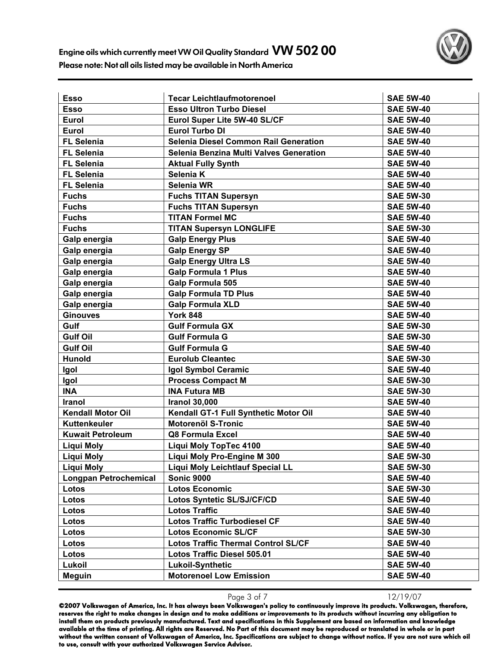| <b>Esso</b>                  | <b>Tecar Leichtlaufmotorenoel</b>            | <b>SAE 5W-40</b> |
|------------------------------|----------------------------------------------|------------------|
| <b>Esso</b>                  | <b>Esso Ultron Turbo Diesel</b>              | <b>SAE 5W-40</b> |
| Eurol                        | Eurol Super Lite 5W-40 SL/CF                 | <b>SAE 5W-40</b> |
| Eurol                        | <b>Eurol Turbo DI</b>                        | <b>SAE 5W-40</b> |
| <b>FL Selenia</b>            | <b>Selenia Diesel Common Rail Generation</b> | <b>SAE 5W-40</b> |
| <b>FL Selenia</b>            | Selenia Benzina Multi Valves Generation      | <b>SAE 5W-40</b> |
| <b>FL Selenia</b>            | <b>Aktual Fully Synth</b>                    | <b>SAE 5W-40</b> |
| <b>FL Selenia</b>            | Selenia K                                    | <b>SAE 5W-40</b> |
| <b>FL Selenia</b>            | <b>Selenia WR</b>                            | <b>SAE 5W-40</b> |
| <b>Fuchs</b>                 | <b>Fuchs TITAN Supersyn</b>                  | <b>SAE 5W-30</b> |
| <b>Fuchs</b>                 | <b>Fuchs TITAN Supersyn</b>                  | <b>SAE 5W-40</b> |
| <b>Fuchs</b>                 | <b>TITAN Formel MC</b>                       | <b>SAE 5W-40</b> |
| <b>Fuchs</b>                 | <b>TITAN Supersyn LONGLIFE</b>               | <b>SAE 5W-30</b> |
| Galp energia                 | <b>Galp Energy Plus</b>                      | <b>SAE 5W-40</b> |
| Galp energia                 | <b>Galp Energy SP</b>                        | <b>SAE 5W-40</b> |
| Galp energia                 | <b>Galp Energy Ultra LS</b>                  | <b>SAE 5W-40</b> |
| Galp energia                 | <b>Galp Formula 1 Plus</b>                   | <b>SAE 5W-40</b> |
| Galp energia                 | Galp Formula 505                             | <b>SAE 5W-40</b> |
| Galp energia                 | <b>Galp Formula TD Plus</b>                  | <b>SAE 5W-40</b> |
| Galp energia                 | <b>Galp Formula XLD</b>                      | <b>SAE 5W-40</b> |
| <b>Ginouves</b>              | <b>York 848</b>                              | <b>SAE 5W-40</b> |
| Gulf                         | <b>Gulf Formula GX</b>                       | <b>SAE 5W-30</b> |
| <b>Gulf Oil</b>              | <b>Gulf Formula G</b>                        | <b>SAE 5W-30</b> |
| <b>Gulf Oil</b>              | <b>Gulf Formula G</b>                        | <b>SAE 5W-40</b> |
| <b>Hunold</b>                | <b>Eurolub Cleantec</b>                      | <b>SAE 5W-30</b> |
| Igol                         | Igol Symbol Ceramic                          | <b>SAE 5W-40</b> |
| Igol                         | <b>Process Compact M</b>                     | <b>SAE 5W-30</b> |
| <b>INA</b>                   | <b>INA Futura MB</b>                         | <b>SAE 5W-30</b> |
| Iranol                       | <b>Iranol 30,000</b>                         | <b>SAE 5W-40</b> |
| <b>Kendall Motor Oil</b>     | Kendall GT-1 Full Synthetic Motor Oil        | <b>SAE 5W-40</b> |
| Kuttenkeuler                 | <b>Motorenöl S-Tronic</b>                    | <b>SAE 5W-40</b> |
| <b>Kuwait Petroleum</b>      | Q8 Formula Excel                             | <b>SAE 5W-40</b> |
| <b>Liqui Moly</b>            | Liqui Moly TopTec 4100                       | <b>SAE 5W-40</b> |
| <b>Liqui Moly</b>            | Liqui Moly Pro-Engine M 300                  | <b>SAE 5W-30</b> |
| Liqui Moly                   | <b>Liqui Moly Leichtlauf Special LL</b>      | <b>SAE 5W-30</b> |
| <b>Longpan Petrochemical</b> | <b>Sonic 9000</b>                            | <b>SAE 5W-40</b> |
| Lotos                        | <b>Lotos Economic</b>                        | <b>SAE 5W-30</b> |
| Lotos                        | <b>Lotos Syntetic SL/SJ/CF/CD</b>            | <b>SAE 5W-40</b> |
| Lotos                        | <b>Lotos Traffic</b>                         | <b>SAE 5W-40</b> |
| Lotos                        | <b>Lotos Traffic Turbodiesel CF</b>          | <b>SAE 5W-40</b> |
| Lotos                        | <b>Lotos Economic SL/CF</b>                  | <b>SAE 5W-30</b> |
| Lotos                        | <b>Lotos Traffic Thermal Control SL/CF</b>   | <b>SAE 5W-40</b> |
| Lotos                        | Lotos Traffic Diesel 505.01                  | <b>SAE 5W-40</b> |
| Lukoil                       | <b>Lukoil-Synthetic</b>                      | <b>SAE 5W-40</b> |
| <b>Meguin</b>                | <b>Motorenoel Low Emission</b>               | <b>SAE 5W-40</b> |

Page 3 of 7 12/19/07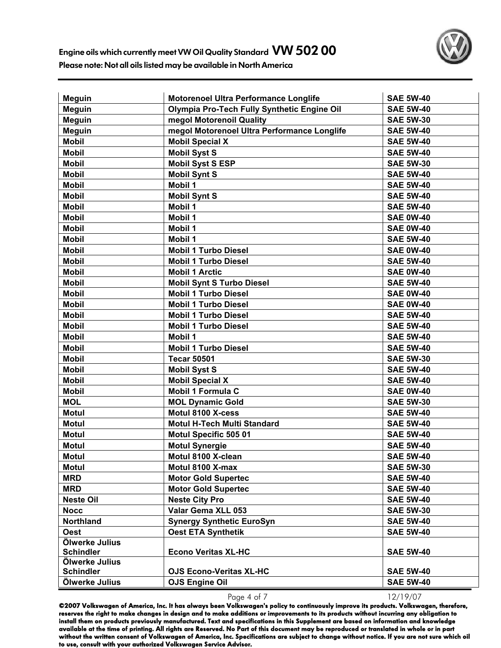

| <b>Meguin</b>    | <b>Motorenoel Ultra Performance Longlife</b>       | <b>SAE 5W-40</b> |
|------------------|----------------------------------------------------|------------------|
| <b>Meguin</b>    | <b>Olympia Pro-Tech Fully Synthetic Engine Oil</b> | <b>SAE 5W-40</b> |
| <b>Meguin</b>    | megol Motorenoil Quality                           | <b>SAE 5W-30</b> |
| <b>Meguin</b>    | megol Motorenoel Ultra Performance Longlife        | <b>SAE 5W-40</b> |
| <b>Mobil</b>     | <b>Mobil Special X</b>                             | <b>SAE 5W-40</b> |
| <b>Mobil</b>     | <b>Mobil Syst S</b>                                | <b>SAE 5W-40</b> |
| <b>Mobil</b>     | <b>Mobil Syst S ESP</b>                            | <b>SAE 5W-30</b> |
| <b>Mobil</b>     | <b>Mobil Synt S</b>                                | <b>SAE 5W-40</b> |
| <b>Mobil</b>     | <b>Mobil 1</b>                                     | <b>SAE 5W-40</b> |
| <b>Mobil</b>     | <b>Mobil Synt S</b>                                | <b>SAE 5W-40</b> |
| <b>Mobil</b>     | <b>Mobil 1</b>                                     | <b>SAE 5W-40</b> |
| <b>Mobil</b>     | Mobil 1                                            | <b>SAE 0W-40</b> |
| <b>Mobil</b>     | <b>Mobil 1</b>                                     | <b>SAE 0W-40</b> |
| <b>Mobil</b>     | <b>Mobil 1</b>                                     | <b>SAE 5W-40</b> |
| <b>Mobil</b>     | <b>Mobil 1 Turbo Diesel</b>                        | <b>SAE 0W-40</b> |
| <b>Mobil</b>     | <b>Mobil 1 Turbo Diesel</b>                        | <b>SAE 5W-40</b> |
| <b>Mobil</b>     | <b>Mobil 1 Arctic</b>                              | <b>SAE 0W-40</b> |
| <b>Mobil</b>     | <b>Mobil Synt S Turbo Diesel</b>                   | <b>SAE 5W-40</b> |
| <b>Mobil</b>     | <b>Mobil 1 Turbo Diesel</b>                        | <b>SAE 0W-40</b> |
| <b>Mobil</b>     | <b>Mobil 1 Turbo Diesel</b>                        | <b>SAE 0W-40</b> |
| <b>Mobil</b>     | <b>Mobil 1 Turbo Diesel</b>                        | <b>SAE 5W-40</b> |
| <b>Mobil</b>     | <b>Mobil 1 Turbo Diesel</b>                        | <b>SAE 5W-40</b> |
| <b>Mobil</b>     | <b>Mobil 1</b>                                     | <b>SAE 5W-40</b> |
| <b>Mobil</b>     | <b>Mobil 1 Turbo Diesel</b>                        | <b>SAE 5W-40</b> |
| <b>Mobil</b>     | <b>Tecar 50501</b>                                 | <b>SAE 5W-30</b> |
| <b>Mobil</b>     | <b>Mobil Syst S</b>                                | <b>SAE 5W-40</b> |
| <b>Mobil</b>     | <b>Mobil Special X</b>                             | <b>SAE 5W-40</b> |
| <b>Mobil</b>     | <b>Mobil 1 Formula C</b>                           | <b>SAE 0W-40</b> |
| <b>MOL</b>       | <b>MOL Dynamic Gold</b>                            | <b>SAE 5W-30</b> |
| <b>Motul</b>     | Motul 8100 X-cess                                  | <b>SAE 5W-40</b> |
| <b>Motul</b>     | <b>Motul H-Tech Multi Standard</b>                 | <b>SAE 5W-40</b> |
| <b>Motul</b>     | Motul Specific 505 01                              | <b>SAE 5W-40</b> |
| <b>Motul</b>     | <b>Motul Synergie</b>                              | <b>SAE 5W-40</b> |
| <b>Motul</b>     | Motul 8100 X-clean                                 | <b>SAE 5W-40</b> |
| <b>Motul</b>     | Motul 8100 X-max                                   | <b>SAE 5W-30</b> |
| <b>MRD</b>       | <b>Motor Gold Supertec</b>                         | <b>SAE 5W-40</b> |
| <b>MRD</b>       | <b>Motor Gold Supertec</b>                         | <b>SAE 5W-40</b> |
| <b>Neste Oil</b> | <b>Neste City Pro</b>                              | <b>SAE 5W-40</b> |
| <b>Nocc</b>      | Valar Gema XLL 053                                 | <b>SAE 5W-30</b> |
| Northland        | <b>Synergy Synthetic EuroSyn</b>                   | <b>SAE 5W-40</b> |
| <b>Oest</b>      | <b>Oest ETA Synthetik</b>                          | <b>SAE 5W-40</b> |
| Ölwerke Julius   |                                                    |                  |
| <b>Schindler</b> | <b>Econo Veritas XL-HC</b>                         | <b>SAE 5W-40</b> |
| Ölwerke Julius   |                                                    |                  |
| <b>Schindler</b> | <b>OJS Econo-Veritas XL-HC</b>                     | <b>SAE 5W-40</b> |
| Ölwerke Julius   | <b>OJS Engine Oil</b>                              | <b>SAE 5W-40</b> |

Page 4 of 7 12/19/07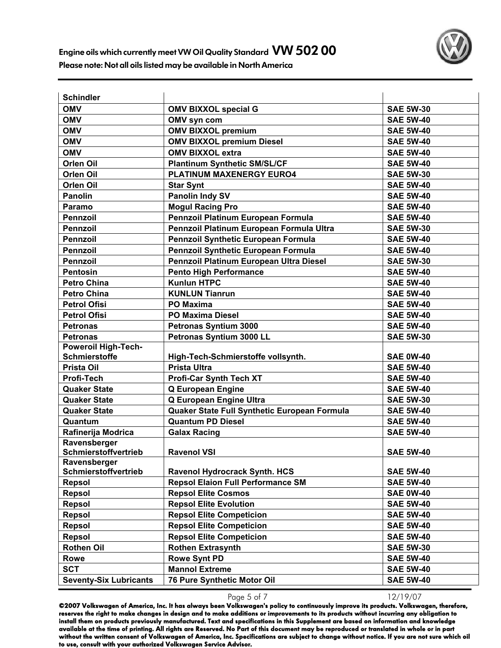

| <b>Schindler</b>                            |                                              |                  |
|---------------------------------------------|----------------------------------------------|------------------|
| <b>OMV</b>                                  | <b>OMV BIXXOL special G</b>                  | <b>SAE 5W-30</b> |
| <b>OMV</b>                                  | OMV syn com                                  | <b>SAE 5W-40</b> |
| <b>OMV</b>                                  | <b>OMV BIXXOL premium</b>                    | <b>SAE 5W-40</b> |
| <b>OMV</b>                                  | <b>OMV BIXXOL premium Diesel</b>             | <b>SAE 5W-40</b> |
| <b>OMV</b>                                  | <b>OMV BIXXOL extra</b>                      | <b>SAE 5W-40</b> |
| Orlen Oil                                   | <b>Plantinum Synthetic SM/SL/CF</b>          | <b>SAE 5W-40</b> |
| <b>Orlen Oil</b>                            | PLATINUM MAXENERGY EURO4                     | <b>SAE 5W-30</b> |
| <b>Orlen Oil</b>                            | <b>Star Synt</b>                             | <b>SAE 5W-40</b> |
| <b>Panolin</b>                              | <b>Panolin Indy SV</b>                       | <b>SAE 5W-40</b> |
| Paramo                                      | <b>Mogul Racing Pro</b>                      | <b>SAE 5W-40</b> |
| <b>Pennzoil</b>                             | Pennzoil Platinum European Formula           | <b>SAE 5W-40</b> |
| <b>Pennzoil</b>                             | Pennzoil Platinum European Formula Ultra     | <b>SAE 5W-30</b> |
| <b>Pennzoil</b>                             | Pennzoil Synthetic European Formula          | <b>SAE 5W-40</b> |
| <b>Pennzoil</b>                             | Pennzoil Synthetic European Formula          | <b>SAE 5W-40</b> |
| <b>Pennzoil</b>                             | Pennzoil Platinum European Ultra Diesel      | <b>SAE 5W-30</b> |
| <b>Pentosin</b>                             | <b>Pento High Performance</b>                | <b>SAE 5W-40</b> |
| <b>Petro China</b>                          | <b>Kunlun HTPC</b>                           | <b>SAE 5W-40</b> |
| <b>Petro China</b>                          | <b>KUNLUN Tianrun</b>                        | <b>SAE 5W-40</b> |
| <b>Petrol Ofisi</b>                         | <b>PO Maxima</b>                             | <b>SAE 5W-40</b> |
| <b>Petrol Ofisi</b>                         | <b>PO Maxima Diesel</b>                      | <b>SAE 5W-40</b> |
| <b>Petronas</b>                             | Petronas Syntium 3000                        | <b>SAE 5W-40</b> |
| <b>Petronas</b>                             | Petronas Syntium 3000 LL                     | <b>SAE 5W-30</b> |
| <b>Poweroil High-Tech-</b>                  |                                              |                  |
| <b>Schmierstoffe</b>                        | High-Tech-Schmierstoffe vollsynth.           | <b>SAE 0W-40</b> |
| <b>Prista Oil</b>                           | <b>Prista Ultra</b>                          | <b>SAE 5W-40</b> |
| Profi-Tech                                  | <b>Profi-Car Synth Tech XT</b>               | <b>SAE 5W-40</b> |
| <b>Quaker State</b>                         | <b>Q European Engine</b>                     | <b>SAE 5W-40</b> |
| <b>Quaker State</b>                         | Q European Engine Ultra                      | <b>SAE 5W-30</b> |
| <b>Quaker State</b>                         | Quaker State Full Synthetic European Formula | <b>SAE 5W-40</b> |
| Quantum                                     | <b>Quantum PD Diesel</b>                     | <b>SAE 5W-40</b> |
| Rafinerija Modrica                          | <b>Galax Racing</b>                          | <b>SAE 5W-40</b> |
| Ravensberger                                |                                              |                  |
| <b>Schmierstoffvertrieb</b><br>Ravensberger | <b>Ravenol VSI</b>                           | <b>SAE 5W-40</b> |
| Schmierstoffvertrieb                        | <b>Ravenol Hydrocrack Synth. HCS</b>         | <b>SAE 5W-40</b> |
| <b>Repsol</b>                               | <b>Repsol Elaion Full Performance SM</b>     | <b>SAE 5W-40</b> |
| <b>Repsol</b>                               | <b>Repsol Elite Cosmos</b>                   | <b>SAE 0W-40</b> |
| <b>Repsol</b>                               | <b>Repsol Elite Evolution</b>                | <b>SAE 5W-40</b> |
| <b>Repsol</b>                               | <b>Repsol Elite Competicion</b>              | <b>SAE 5W-40</b> |
| <b>Repsol</b>                               | <b>Repsol Elite Competicion</b>              | <b>SAE 5W-40</b> |
| <b>Repsol</b>                               | <b>Repsol Elite Competicion</b>              | <b>SAE 5W-40</b> |
| <b>Rothen Oil</b>                           | <b>Rothen Extrasynth</b>                     | <b>SAE 5W-30</b> |
| Rowe                                        | <b>Rowe Synt PD</b>                          | <b>SAE 5W-40</b> |
| <b>SCT</b>                                  | <b>Mannol Extreme</b>                        | <b>SAE 5W-40</b> |
| <b>Seventy-Six Lubricants</b>               | 76 Pure Synthetic Motor Oil                  | <b>SAE 5W-40</b> |
|                                             |                                              |                  |

Page 5 of 7 12/19/07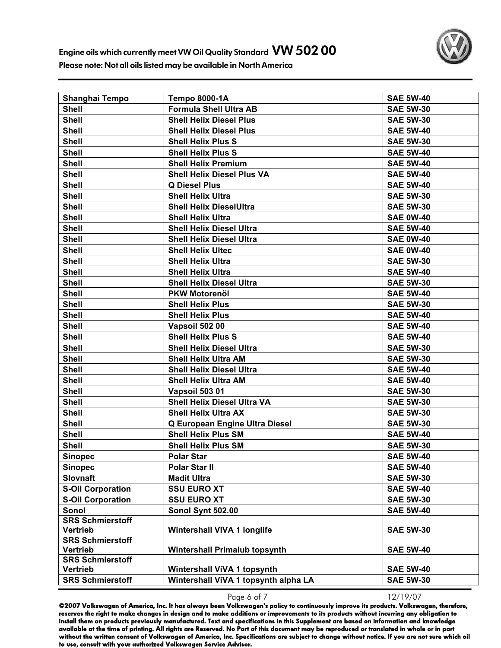

| Shanghai Tempo                             | <b>Tempo 8000-1A</b>                 | <b>SAE 5W-40</b> |
|--------------------------------------------|--------------------------------------|------------------|
| <b>Shell</b>                               | <b>Formula Shell Ultra AB</b>        | <b>SAE 5W-30</b> |
| <b>Shell</b>                               | <b>Shell Helix Diesel Plus</b>       | <b>SAE 5W-30</b> |
| <b>Shell</b>                               | <b>Shell Helix Diesel Plus</b>       | <b>SAE 5W-40</b> |
| <b>Shell</b>                               | <b>Shell Helix Plus S</b>            | <b>SAE 5W-30</b> |
| <b>Shell</b>                               | <b>Shell Helix Plus S</b>            | <b>SAE 5W-40</b> |
| <b>Shell</b>                               | <b>Shell Helix Premium</b>           | <b>SAE 5W-40</b> |
| <b>Shell</b>                               | <b>Shell Helix Diesel Plus VA</b>    | <b>SAE 5W-40</b> |
| <b>Shell</b>                               | <b>Q Diesel Plus</b>                 | <b>SAE 5W-40</b> |
| <b>Shell</b>                               | <b>Shell Helix Ultra</b>             | <b>SAE 5W-30</b> |
| <b>Shell</b>                               | <b>Shell Helix DieselUltra</b>       | <b>SAE 5W-30</b> |
| <b>Shell</b>                               | <b>Shell Helix Ultra</b>             | <b>SAE 0W-40</b> |
| <b>Shell</b>                               | <b>Shell Helix Diesel Ultra</b>      | <b>SAE 5W-40</b> |
| <b>Shell</b>                               | <b>Shell Helix Diesel Ultra</b>      | <b>SAE 0W-40</b> |
| <b>Shell</b>                               | <b>Shell Helix Ultec</b>             | <b>SAE 0W-40</b> |
| <b>Shell</b>                               | <b>Shell Helix Ultra</b>             | <b>SAE 5W-30</b> |
| <b>Shell</b>                               | <b>Shell Helix Ultra</b>             | <b>SAE 5W-40</b> |
| <b>Shell</b>                               | <b>Shell Helix Diesel Ultra</b>      | <b>SAE 5W-30</b> |
| <b>Shell</b>                               | <b>PKW Motorenöl</b>                 | <b>SAE 5W-40</b> |
| <b>Shell</b>                               | <b>Shell Helix Plus</b>              | <b>SAE 5W-30</b> |
| <b>Shell</b>                               | <b>Shell Helix Plus</b>              | <b>SAE 5W-40</b> |
| <b>Shell</b>                               | Vapsoil 502 00                       | <b>SAE 5W-40</b> |
| <b>Shell</b>                               | <b>Shell Helix Plus S</b>            | <b>SAE 5W-40</b> |
| <b>Shell</b>                               | <b>Shell Helix Diesel Ultra</b>      | <b>SAE 5W-30</b> |
| <b>Shell</b>                               | <b>Shell Helix Ultra AM</b>          | <b>SAE 5W-30</b> |
| <b>Shell</b>                               | <b>Shell Helix Diesel Ultra</b>      | <b>SAE 5W-40</b> |
| <b>Shell</b>                               | <b>Shell Helix Ultra AM</b>          | <b>SAE 5W-40</b> |
| <b>Shell</b>                               | Vapsoil 503 01                       | <b>SAE 5W-30</b> |
| <b>Shell</b>                               | <b>Shell Helix Diesel Ultra VA</b>   | <b>SAE 5W-30</b> |
| <b>Shell</b>                               | <b>Shell Helix Ultra AX</b>          | <b>SAE 5W-30</b> |
| <b>Shell</b>                               | Q European Engine Ultra Diesel       | <b>SAE 5W-30</b> |
| <b>Shell</b>                               | <b>Shell Helix Plus SM</b>           | <b>SAE 5W-40</b> |
| <b>Shell</b>                               | <b>Shell Helix Plus SM</b>           | <b>SAE 5W-30</b> |
| <b>Sinopec</b>                             | <b>Polar Star</b>                    | <b>SAE 5W-40</b> |
| <b>Sinopec</b>                             | <b>Polar Star II</b>                 | <b>SAE 5W-40</b> |
| <b>Slovnaft</b>                            | <b>Madit Ultra</b>                   | <b>SAE 5W-30</b> |
| <b>S-Oil Corporation</b>                   | <b>SSU EURO XT</b>                   | <b>SAE 5W-40</b> |
| <b>S-Oil Corporation</b>                   | <b>SSU EURO XT</b>                   | <b>SAE 5W-30</b> |
| Sonol                                      | Sonol Synt 502.00                    | <b>SAE 5W-40</b> |
| <b>SRS Schmierstoff</b>                    |                                      |                  |
| <b>Vertrieb</b>                            | <b>Wintershall VIVA 1 longlife</b>   | <b>SAE 5W-30</b> |
| <b>SRS Schmierstoff</b>                    |                                      |                  |
| <b>Vertrieb</b>                            | <b>Wintershall Primalub topsynth</b> | <b>SAE 5W-40</b> |
| <b>SRS Schmierstoff</b><br><b>Vertrieb</b> | <b>Wintershall ViVA 1 topsynth</b>   | <b>SAE 5W-40</b> |
| <b>SRS Schmierstoff</b>                    | Wintershall ViVA 1 topsynth alpha LA | <b>SAE 5W-30</b> |
|                                            |                                      |                  |

Page 6 of 7 12/19/07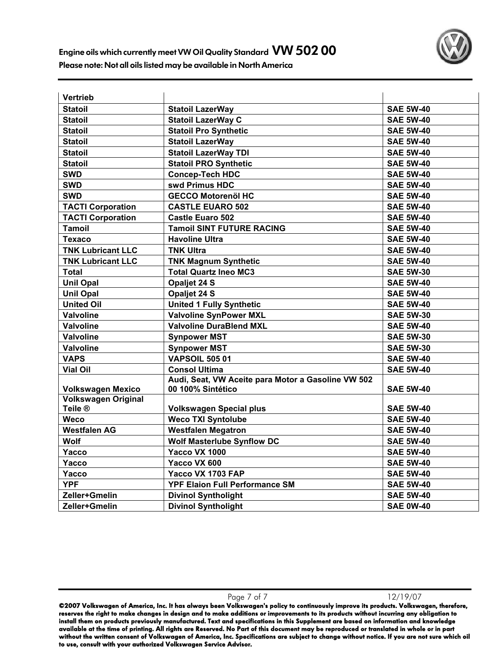

| Vertrieb                           |                                                    |                  |
|------------------------------------|----------------------------------------------------|------------------|
| <b>Statoil</b>                     | <b>Statoil LazerWay</b>                            | <b>SAE 5W-40</b> |
| <b>Statoil</b>                     | <b>Statoil LazerWay C</b>                          | <b>SAE 5W-40</b> |
| <b>Statoil</b>                     | <b>Statoil Pro Synthetic</b>                       | <b>SAE 5W-40</b> |
| <b>Statoil</b>                     | <b>Statoil LazerWay</b>                            | <b>SAE 5W-40</b> |
| <b>Statoil</b>                     | <b>Statoil LazerWay TDI</b>                        | <b>SAE 5W-40</b> |
| <b>Statoil</b>                     | <b>Statoil PRO Synthetic</b>                       | <b>SAE 5W-40</b> |
| <b>SWD</b>                         | <b>Concep-Tech HDC</b>                             | <b>SAE 5W-40</b> |
| <b>SWD</b>                         | swd Primus HDC                                     | <b>SAE 5W-40</b> |
| <b>SWD</b>                         | <b>GECCO Motorenöl HC</b>                          | <b>SAE 5W-40</b> |
| <b>TACTI Corporation</b>           | <b>CASTLE EUARO 502</b>                            | <b>SAE 5W-40</b> |
| <b>TACTI Corporation</b>           | <b>Castle Euaro 502</b>                            | <b>SAE 5W-40</b> |
| <b>Tamoil</b>                      | <b>Tamoil SINT FUTURE RACING</b>                   | <b>SAE 5W-40</b> |
| <b>Texaco</b>                      | <b>Havoline Ultra</b>                              | <b>SAE 5W-40</b> |
| <b>TNK Lubricant LLC</b>           | <b>TNK Ultra</b>                                   | <b>SAE 5W-40</b> |
| <b>TNK Lubricant LLC</b>           | <b>TNK Magnum Synthetic</b>                        | <b>SAE 5W-40</b> |
| Total                              | <b>Total Quartz Ineo MC3</b>                       | <b>SAE 5W-30</b> |
| <b>Unil Opal</b>                   | Opaljet 24 S                                       | <b>SAE 5W-40</b> |
| <b>Unil Opal</b>                   | Opaljet 24 S                                       | <b>SAE 5W-40</b> |
| <b>United Oil</b>                  | <b>United 1 Fully Synthetic</b>                    | <b>SAE 5W-40</b> |
| Valvoline                          | <b>Valvoline SynPower MXL</b>                      | <b>SAE 5W-30</b> |
| <b>Valvoline</b>                   | <b>Valvoline DuraBlend MXL</b>                     | <b>SAE 5W-40</b> |
| <b>Valvoline</b>                   | <b>Synpower MST</b>                                | <b>SAE 5W-30</b> |
| Valvoline                          | <b>Synpower MST</b>                                | <b>SAE 5W-30</b> |
| <b>VAPS</b>                        | <b>VAPSOIL 505 01</b>                              | <b>SAE 5W-40</b> |
| <b>Vial Oil</b>                    | <b>Consol Ultima</b>                               | <b>SAE 5W-40</b> |
|                                    | Audi, Seat, VW Aceite para Motor a Gasoline VW 502 |                  |
| <b>Volkswagen Mexico</b>           | 00 100% Sintético                                  | <b>SAE 5W-40</b> |
| <b>Volkswagen Original</b>         |                                                    |                  |
| Teile ®                            | <b>Volkswagen Special plus</b>                     | <b>SAE 5W-40</b> |
| Weco                               | <b>Weco TXI Syntolube</b>                          | <b>SAE 5W-40</b> |
| <b>Westfalen AG</b><br><b>Wolf</b> | <b>Westfalen Megatron</b>                          | <b>SAE 5W-40</b> |
|                                    | <b>Wolf Masterlube Synflow DC</b>                  | <b>SAE 5W-40</b> |
| Yacco                              | <b>Yacco VX 1000</b>                               | <b>SAE 5W-40</b> |
| Yacco                              | Yacco VX 600                                       | <b>SAE 5W-40</b> |
| Yacco                              | Yacco VX 1703 FAP                                  | <b>SAE 5W-40</b> |
| <b>YPF</b>                         | <b>YPF Elaion Full Performance SM</b>              | <b>SAE 5W-40</b> |
| Zeller+Gmelin                      | <b>Divinol Syntholight</b>                         | <b>SAE 5W-40</b> |
| Zeller+Gmelin                      | <b>Divinol Syntholight</b>                         | <b>SAE 0W-40</b> |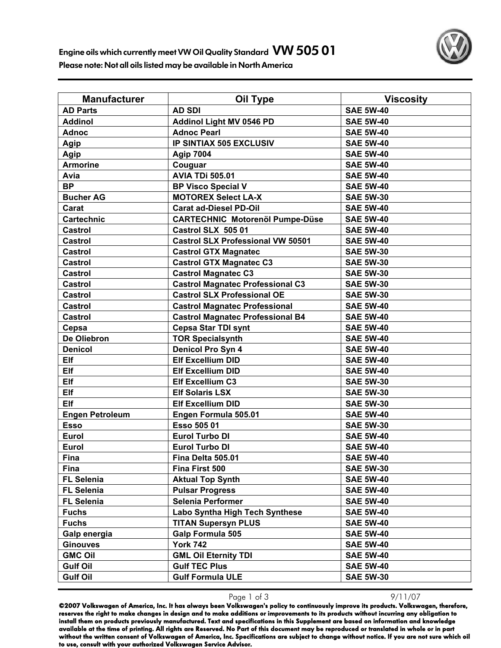| <b>Manufacturer</b>    | Oil Type                                 | <b>Viscosity</b> |
|------------------------|------------------------------------------|------------------|
| <b>AD Parts</b>        | <b>AD SDI</b>                            | <b>SAE 5W-40</b> |
| <b>Addinol</b>         | <b>Addinol Light MV 0546 PD</b>          | <b>SAE 5W-40</b> |
| <b>Adnoc</b>           | <b>Adnoc Pearl</b>                       | <b>SAE 5W-40</b> |
| Agip                   | <b>IP SINTIAX 505 EXCLUSIV</b>           | <b>SAE 5W-40</b> |
| Agip                   | <b>Agip 7004</b>                         | <b>SAE 5W-40</b> |
| <b>Armorine</b>        | Couguar                                  | <b>SAE 5W-40</b> |
| Avia                   | <b>AVIA TDi 505.01</b>                   | <b>SAE 5W-40</b> |
| <b>BP</b>              | <b>BP Visco Special V</b>                | <b>SAE 5W-40</b> |
| <b>Bucher AG</b>       | <b>MOTOREX Select LA-X</b>               | <b>SAE 5W-30</b> |
| Carat                  | <b>Carat ad-Diesel PD-Oil</b>            | <b>SAE 5W-40</b> |
| <b>Cartechnic</b>      | <b>CARTECHNIC Motorenöl Pumpe-Düse</b>   | <b>SAE 5W-40</b> |
| <b>Castrol</b>         | Castrol SLX 505 01                       | <b>SAE 5W-40</b> |
| <b>Castrol</b>         | <b>Castrol SLX Professional VW 50501</b> | <b>SAE 5W-40</b> |
| <b>Castrol</b>         | <b>Castrol GTX Magnatec</b>              | <b>SAE 5W-30</b> |
| Castrol                | <b>Castrol GTX Magnatec C3</b>           | <b>SAE 5W-30</b> |
| <b>Castrol</b>         | <b>Castrol Magnatec C3</b>               | <b>SAE 5W-30</b> |
| <b>Castrol</b>         | <b>Castrol Magnatec Professional C3</b>  | <b>SAE 5W-30</b> |
| <b>Castrol</b>         | <b>Castrol SLX Professional OE</b>       | <b>SAE 5W-30</b> |
| Castrol                | <b>Castrol Magnatec Professional</b>     | <b>SAE 5W-40</b> |
| Castrol                | <b>Castrol Magnatec Professional B4</b>  | <b>SAE 5W-40</b> |
| Cepsa                  | <b>Cepsa Star TDI synt</b>               | <b>SAE 5W-40</b> |
| De Oliebron            | <b>TOR Specialsynth</b>                  | <b>SAE 5W-40</b> |
| <b>Denicol</b>         | Denicol Pro Syn 4                        | <b>SAE 5W-40</b> |
| <b>Elf</b>             | <b>Elf Excellium DID</b>                 | <b>SAE 5W-40</b> |
| Elf                    | <b>Elf Excellium DID</b>                 | <b>SAE 5W-40</b> |
| Elf                    | <b>Elf Excellium C3</b>                  | <b>SAE 5W-30</b> |
| Elf                    | <b>Elf Solaris LSX</b>                   | <b>SAE 5W-30</b> |
| Elf                    | <b>Elf Excellium DID</b>                 | <b>SAE 5W-30</b> |
| <b>Engen Petroleum</b> | Engen Formula 505.01                     | <b>SAE 5W-40</b> |
| <b>Esso</b>            | Esso 505 01                              | <b>SAE 5W-30</b> |
| Eurol                  | <b>Eurol Turbo DI</b>                    | <b>SAE 5W-40</b> |
| Eurol                  | <b>Eurol Turbo DI</b>                    | <b>SAE 5W-40</b> |
| Fina                   | Fina Delta 505.01                        | <b>SAE 5W-40</b> |
| Fina                   | Fina First 500                           | <b>SAE 5W-30</b> |
| <b>FL Selenia</b>      | <b>Aktual Top Synth</b>                  | <b>SAE 5W-40</b> |
| <b>FL Selenia</b>      | <b>Pulsar Progress</b>                   | <b>SAE 5W-40</b> |
| <b>FL Selenia</b>      | Selenia Performer                        | <b>SAE 5W-40</b> |
| <b>Fuchs</b>           | Labo Syntha High Tech Synthese           | <b>SAE 5W-40</b> |
| <b>Fuchs</b>           | <b>TITAN Supersyn PLUS</b>               | <b>SAE 5W-40</b> |
| Galp energia           | <b>Galp Formula 505</b>                  | <b>SAE 5W-40</b> |
| <b>Ginouves</b>        | <b>York 742</b>                          | <b>SAE 5W-40</b> |
| <b>GMC Oil</b>         | <b>GML Oil Eternity TDI</b>              | <b>SAE 5W-40</b> |
| <b>Gulf Oil</b>        | <b>Gulf TEC Plus</b>                     | <b>SAE 5W-40</b> |
| <b>Gulf Oil</b>        | <b>Gulf Formula ULE</b>                  | <b>SAE 5W-30</b> |

Page 1 of 3 9/11/07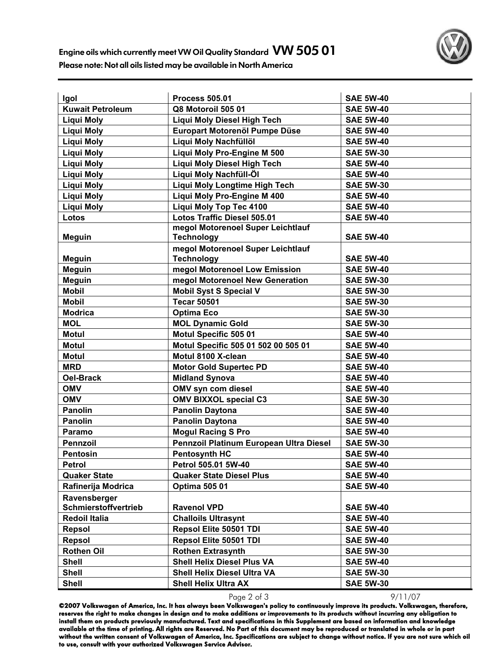

| Igol                    | <b>Process 505.01</b>                   | <b>SAE 5W-40</b> |
|-------------------------|-----------------------------------------|------------------|
| <b>Kuwait Petroleum</b> | Q8 Motoroil 505 01                      | <b>SAE 5W-40</b> |
| <b>Liqui Moly</b>       | <b>Liqui Moly Diesel High Tech</b>      | <b>SAE 5W-40</b> |
| <b>Liqui Moly</b>       | Europart Motorenöl Pumpe Düse           | <b>SAE 5W-40</b> |
| <b>Liqui Moly</b>       | Liqui Moly Nachfüllöl                   | <b>SAE 5W-40</b> |
| <b>Liqui Moly</b>       | Liqui Moly Pro-Engine M 500             | <b>SAE 5W-30</b> |
| Liqui Moly              | <b>Liqui Moly Diesel High Tech</b>      | <b>SAE 5W-40</b> |
| <b>Liqui Moly</b>       | Liqui Moly Nachfüll-Öl                  | <b>SAE 5W-40</b> |
| <b>Liqui Moly</b>       | <b>Liqui Moly Longtime High Tech</b>    | <b>SAE 5W-30</b> |
| <b>Liqui Moly</b>       | Liqui Moly Pro-Engine M 400             | <b>SAE 5W-40</b> |
| <b>Liqui Moly</b>       | <b>Liqui Moly Top Tec 4100</b>          | <b>SAE 5W-40</b> |
| Lotos                   | <b>Lotos Traffic Diesel 505.01</b>      | <b>SAE 5W-40</b> |
|                         | megol Motorenoel Super Leichtlauf       |                  |
| <b>Meguin</b>           | <b>Technology</b>                       | <b>SAE 5W-40</b> |
|                         | megol Motorenoel Super Leichtlauf       |                  |
| Meguin                  | <b>Technology</b>                       | <b>SAE 5W-40</b> |
| <b>Meguin</b>           | megol Motorenoel Low Emission           | <b>SAE 5W-40</b> |
| <b>Meguin</b>           | megol Motorenoel New Generation         | <b>SAE 5W-30</b> |
| <b>Mobil</b>            | <b>Mobil Syst S Special V</b>           | <b>SAE 5W-30</b> |
| <b>Mobil</b>            | <b>Tecar 50501</b>                      | <b>SAE 5W-30</b> |
| <b>Modrica</b>          | <b>Optima Eco</b>                       | <b>SAE 5W-30</b> |
| <b>MOL</b>              | <b>MOL Dynamic Gold</b>                 | <b>SAE 5W-30</b> |
| <b>Motul</b>            | Motul Specific 505 01                   | <b>SAE 5W-40</b> |
| <b>Motul</b>            | Motul Specific 505 01 502 00 505 01     | <b>SAE 5W-40</b> |
| <b>Motul</b>            | Motul 8100 X-clean                      | <b>SAE 5W-40</b> |
| <b>MRD</b>              | <b>Motor Gold Supertec PD</b>           | <b>SAE 5W-40</b> |
| <b>Oel-Brack</b>        | <b>Midland Synova</b>                   | <b>SAE 5W-40</b> |
| <b>OMV</b>              | OMV syn com diesel                      | <b>SAE 5W-40</b> |
| <b>OMV</b>              | <b>OMV BIXXOL special C3</b>            | <b>SAE 5W-30</b> |
| <b>Panolin</b>          | <b>Panolin Daytona</b>                  | <b>SAE 5W-40</b> |
| <b>Panolin</b>          | <b>Panolin Daytona</b>                  | <b>SAE 5W-40</b> |
| Paramo                  | <b>Mogul Racing S Pro</b>               | <b>SAE 5W-40</b> |
| <b>Pennzoil</b>         | Pennzoil Platinum European Ultra Diesel | <b>SAE 5W-30</b> |
| <b>Pentosin</b>         | <b>Pentosynth HC</b>                    | <b>SAE 5W-40</b> |
| Petrol                  | Petrol 505.01 5W-40                     | <b>SAE 5W-40</b> |
| <b>Quaker State</b>     | <b>Quaker State Diesel Plus</b>         | <b>SAE 5W-40</b> |
| Rafinerija Modrica      | <b>Optima 505 01</b>                    | <b>SAE 5W-40</b> |
| Ravensberger            |                                         |                  |
| Schmierstoffvertrieb    | <b>Ravenol VPD</b>                      | <b>SAE 5W-40</b> |
| <b>Redoil Italia</b>    | <b>Challoils Ultrasynt</b>              | <b>SAE 5W-40</b> |
| Repsol                  | Repsol Elite 50501 TDI                  | <b>SAE 5W-40</b> |
| Repsol                  | Repsol Elite 50501 TDI                  | <b>SAE 5W-40</b> |
| <b>Rothen Oil</b>       | <b>Rothen Extrasynth</b>                | <b>SAE 5W-30</b> |
| <b>Shell</b>            | <b>Shell Helix Diesel Plus VA</b>       | <b>SAE 5W-40</b> |
| <b>Shell</b>            | <b>Shell Helix Diesel Ultra VA</b>      | <b>SAE 5W-30</b> |
| <b>Shell</b>            | <b>Shell Helix Ultra AX</b>             | <b>SAE 5W-30</b> |

Page 2 of 3 9/11/07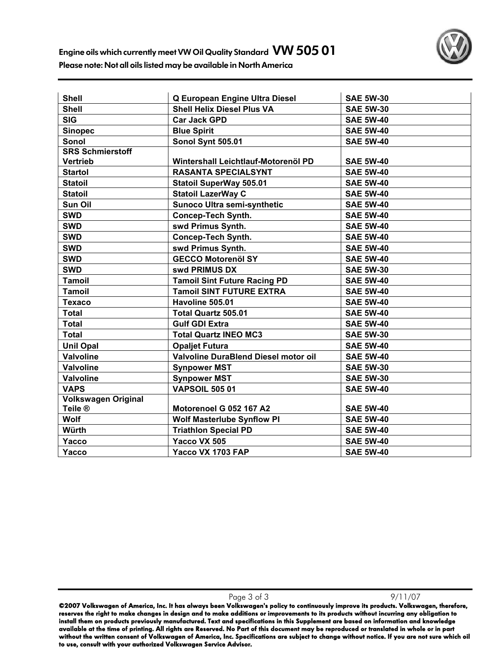

| <b>Shell</b>               | Q European Engine Ultra Diesel       | <b>SAE 5W-30</b> |
|----------------------------|--------------------------------------|------------------|
| <b>Shell</b>               | <b>Shell Helix Diesel Plus VA</b>    | <b>SAE 5W-30</b> |
| <b>SIG</b>                 | <b>Car Jack GPD</b>                  | <b>SAE 5W-40</b> |
| <b>Sinopec</b>             | <b>Blue Spirit</b>                   | <b>SAE 5W-40</b> |
| Sonol                      | Sonol Synt 505.01                    | <b>SAE 5W-40</b> |
| <b>SRS Schmierstoff</b>    |                                      |                  |
| <b>Vertrieb</b>            | Wintershall Leichtlauf-Motorenöl PD  | <b>SAE 5W-40</b> |
| <b>Startol</b>             | <b>RASANTA SPECIALSYNT</b>           | <b>SAE 5W-40</b> |
| <b>Statoil</b>             | <b>Statoil SuperWay 505.01</b>       | <b>SAE 5W-40</b> |
| <b>Statoil</b>             | <b>Statoil LazerWay C</b>            | <b>SAE 5W-40</b> |
| Sun Oil                    | Sunoco Ultra semi-synthetic          | <b>SAE 5W-40</b> |
| <b>SWD</b>                 | <b>Concep-Tech Synth.</b>            | <b>SAE 5W-40</b> |
| <b>SWD</b>                 | swd Primus Synth.                    | <b>SAE 5W-40</b> |
| <b>SWD</b>                 | <b>Concep-Tech Synth.</b>            | <b>SAE 5W-40</b> |
| <b>SWD</b>                 | swd Primus Synth.                    | <b>SAE 5W-40</b> |
| <b>SWD</b>                 | <b>GECCO Motorenöl SY</b>            | <b>SAE 5W-40</b> |
| <b>SWD</b>                 | swd PRIMUS DX                        | <b>SAE 5W-30</b> |
| <b>Tamoil</b>              | <b>Tamoil Sint Future Racing PD</b>  | <b>SAE 5W-40</b> |
| <b>Tamoil</b>              | <b>Tamoil SINT FUTURE EXTRA</b>      | <b>SAE 5W-40</b> |
| <b>Texaco</b>              | Havoline 505.01                      | <b>SAE 5W-40</b> |
| <b>Total</b>               | <b>Total Quartz 505.01</b>           | <b>SAE 5W-40</b> |
| <b>Total</b>               | <b>Gulf GDI Extra</b>                | <b>SAE 5W-40</b> |
| <b>Total</b>               | <b>Total Quartz INEO MC3</b>         | <b>SAE 5W-30</b> |
| <b>Unil Opal</b>           | <b>Opaljet Futura</b>                | <b>SAE 5W-40</b> |
| <b>Valvoline</b>           | Valvoline DuraBlend Diesel motor oil | <b>SAE 5W-40</b> |
| <b>Valvoline</b>           | <b>Synpower MST</b>                  | <b>SAE 5W-30</b> |
| <b>Valvoline</b>           | <b>Synpower MST</b>                  | <b>SAE 5W-30</b> |
| <b>VAPS</b>                | <b>VAPSOIL 505 01</b>                | <b>SAE 5W-40</b> |
| <b>Volkswagen Original</b> |                                      |                  |
| Teile <sup>®</sup>         | Motorenoel G 052 167 A2              | <b>SAE 5W-40</b> |
| Wolf                       | <b>Wolf Masterlube Synflow PI</b>    | <b>SAE 5W-40</b> |
| Würth                      | <b>Triathlon Special PD</b>          | <b>SAE 5W-40</b> |
| Yacco                      | Yacco VX 505                         | <b>SAE 5W-40</b> |
| Yacco                      | Yacco VX 1703 FAP                    | <b>SAE 5W-40</b> |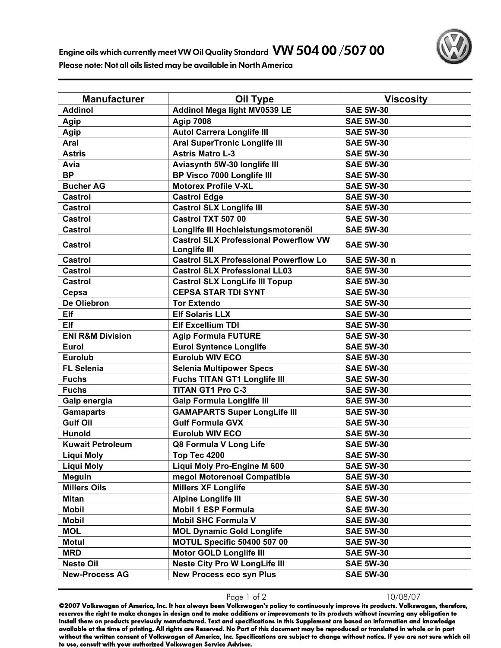

| <b>Manufacturer</b>         | <b>Oil Type</b>                                              | <b>Viscosity</b> |
|-----------------------------|--------------------------------------------------------------|------------------|
| <b>Addinol</b>              | Addinol Mega light MV0539 LE                                 | <b>SAE 5W-30</b> |
| Agip                        | <b>Agip 7008</b>                                             | <b>SAE 5W-30</b> |
| Agip                        | <b>Autol Carrera Longlife III</b>                            | <b>SAE 5W-30</b> |
| Aral                        | <b>Aral SuperTronic Longlife III</b>                         | <b>SAE 5W-30</b> |
| <b>Astris</b>               | <b>Astris Matro L-3</b>                                      | <b>SAE 5W-30</b> |
| Avia                        | Aviasynth 5W-30 longlife III                                 | <b>SAE 5W-30</b> |
| <b>BP</b>                   | BP Visco 7000 Longlife III                                   | <b>SAE 5W-30</b> |
| <b>Bucher AG</b>            | <b>Motorex Profile V-XL</b>                                  | <b>SAE 5W-30</b> |
| <b>Castrol</b>              | <b>Castrol Edge</b>                                          | <b>SAE 5W-30</b> |
| <b>Castrol</b>              | <b>Castrol SLX Longlife III</b>                              | <b>SAE 5W-30</b> |
| <b>Castrol</b>              | Castrol TXT 507 00                                           | <b>SAE 5W-30</b> |
| <b>Castrol</b>              | Longlife III Hochleistungsmotorenöl                          | <b>SAE 5W-30</b> |
| <b>Castrol</b>              | <b>Castrol SLX Professional Powerflow VW</b><br>Longlife III | <b>SAE 5W-30</b> |
| <b>Castrol</b>              | <b>Castrol SLX Professional Powerflow Lo</b>                 | SAE 5W-30 n      |
| <b>Castrol</b>              | <b>Castrol SLX Professional LL03</b>                         | <b>SAE 5W-30</b> |
| <b>Castrol</b>              | <b>Castrol SLX LongLife III Topup</b>                        | <b>SAE 5W-30</b> |
| Cepsa                       | <b>CEPSA STAR TDI SYNT</b>                                   | <b>SAE 5W-30</b> |
| De Oliebron                 | <b>Tor Extendo</b>                                           | <b>SAE 5W-30</b> |
| <b>Elf</b>                  | <b>Elf Solaris LLX</b>                                       | <b>SAE 5W-30</b> |
| <b>Elf</b>                  | <b>Elf Excellium TDI</b>                                     | <b>SAE 5W-30</b> |
| <b>ENI R&amp;M Division</b> | <b>Agip Formula FUTURE</b>                                   | <b>SAE 5W-30</b> |
| <b>Eurol</b>                | <b>Eurol Syntence Longlife</b>                               | <b>SAE 5W-30</b> |
| <b>Eurolub</b>              | <b>Eurolub WIV ECO</b>                                       | <b>SAE 5W-30</b> |
| <b>FL Selenia</b>           | <b>Selenia Multipower Specs</b>                              | <b>SAE 5W-30</b> |
| <b>Fuchs</b>                | <b>Fuchs TITAN GT1 Longlife III</b>                          | <b>SAE 5W-30</b> |
| <b>Fuchs</b>                | <b>TITAN GT1 Pro C-3</b>                                     | <b>SAE 5W-30</b> |
| Galp energia                | <b>Galp Formula Longlife III</b>                             | <b>SAE 5W-30</b> |
| <b>Gamaparts</b>            | <b>GAMAPARTS Super LongLife III</b>                          | <b>SAE 5W-30</b> |
| <b>Gulf Oil</b>             | <b>Gulf Formula GVX</b>                                      | <b>SAE 5W-30</b> |
| <b>Hunold</b>               | <b>Eurolub WIV ECO</b>                                       | <b>SAE 5W-30</b> |
| <b>Kuwait Petroleum</b>     | Q8 Formula V Long Life                                       | <b>SAE 5W-30</b> |
| Liqui Moly                  | Top Tec 4200                                                 | <b>SAE 5W-30</b> |
| <b>Liqui Moly</b>           | Liqui Moly Pro-Engine M 600                                  | <b>SAE 5W-30</b> |
| <b>Meguin</b>               | megol Motorenoel Compatible                                  | <b>SAE 5W-30</b> |
| <b>Millers Oils</b>         | <b>Millers XF Longlife</b>                                   | <b>SAE 5W-30</b> |
| <b>Mitan</b>                | <b>Alpine Longlife III</b>                                   | <b>SAE 5W-30</b> |
| <b>Mobil</b>                | <b>Mobil 1 ESP Formula</b>                                   | <b>SAE 5W-30</b> |
| <b>Mobil</b>                | <b>Mobil SHC Formula V</b>                                   | <b>SAE 5W-30</b> |
| <b>MOL</b>                  | <b>MOL Dynamic Gold Longlife</b>                             | <b>SAE 5W-30</b> |
| <b>Motul</b>                | <b>MOTUL Specific 50400 507 00</b>                           | <b>SAE 5W-30</b> |
| <b>MRD</b>                  | <b>Motor GOLD Longlife III</b>                               | <b>SAE 5W-30</b> |
| <b>Neste Oil</b>            | <b>Neste City Pro W LongLife III</b>                         | <b>SAE 5W-30</b> |
| <b>New-Process AG</b>       | <b>New Process eco syn Plus</b>                              | <b>SAE 5W-30</b> |

Page 1 of 2 10/08/07